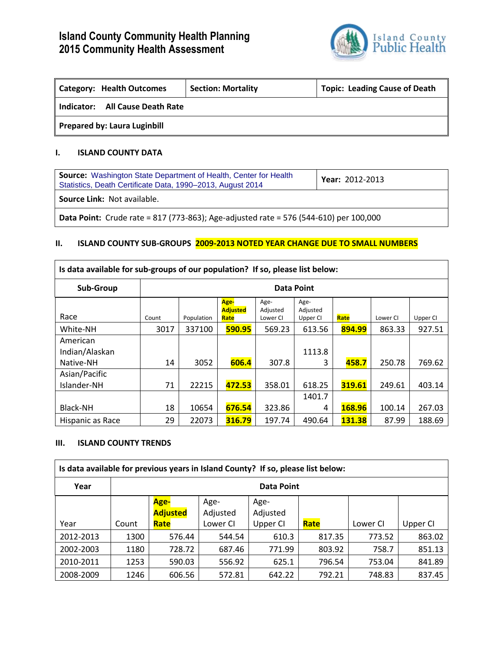

| Category: Health Outcomes           | <b>Section: Mortality</b> | <b>Topic: Leading Cause of Death</b> |  |  |  |  |
|-------------------------------------|---------------------------|--------------------------------------|--|--|--|--|
| Indicator: All Cause Death Rate     |                           |                                      |  |  |  |  |
| <b>Prepared by: Laura Luginbill</b> |                           |                                      |  |  |  |  |

## **I. ISLAND COUNTY DATA**

| <b>Source:</b> Washington State Department of Health, Center for Health<br>Statistics, Death Certificate Data, 1990-2013, August 2014 | Year: 2012-2013 |  |  |  |  |
|---------------------------------------------------------------------------------------------------------------------------------------|-----------------|--|--|--|--|
| <b>Source Link: Not available.</b>                                                                                                    |                 |  |  |  |  |
| <b>Data Point:</b> Crude rate = 817 (773-863); Age-adjusted rate = 576 (544-610) per 100,000                                          |                 |  |  |  |  |

## **II. ISLAND COUNTY SUB-GROUPS 2009-2013 NOTED YEAR CHANGE DUE TO SMALL NUMBERS**

| Is data available for sub-groups of our population? If so, please list below: |                   |            |                                 |                              |                              |        |          |          |
|-------------------------------------------------------------------------------|-------------------|------------|---------------------------------|------------------------------|------------------------------|--------|----------|----------|
| Sub-Group                                                                     | <b>Data Point</b> |            |                                 |                              |                              |        |          |          |
| Race                                                                          | Count             | Population | Age-<br><b>Adjusted</b><br>Rate | Age-<br>Adjusted<br>Lower CI | Age-<br>Adjusted<br>Upper CI | Rate   | Lower CI | Upper CI |
| White-NH                                                                      | 3017              | 337100     | 590.95                          | 569.23                       | 613.56                       | 894.99 | 863.33   | 927.51   |
| American<br>Indian/Alaskan<br>Native-NH                                       | 14                | 3052       | 606.4                           | 307.8                        | 1113.8<br>3                  | 458.7  | 250.78   | 769.62   |
| Asian/Pacific<br>Islander-NH                                                  | 71                | 22215      | 472.53                          | 358.01                       | 618.25                       | 319.61 | 249.61   | 403.14   |
| Black-NH                                                                      | 18                | 10654      | 676.54                          | 323.86                       | 1401.7<br>4                  | 168.96 | 100.14   | 267.03   |
| Hispanic as Race                                                              | 29                | 22073      | 316.79                          | 197.74                       | 490.64                       | 131.38 | 87.99    | 188.69   |

### **III. ISLAND COUNTY TRENDS**

| Is data available for previous years in Island County? If so, please list below: |       |                 |          |          |        |          |          |  |
|----------------------------------------------------------------------------------|-------|-----------------|----------|----------|--------|----------|----------|--|
| Year                                                                             |       | Data Point      |          |          |        |          |          |  |
|                                                                                  |       | Age-            | Age-     | Age-     |        |          |          |  |
|                                                                                  |       | <b>Adjusted</b> | Adjusted | Adjusted |        |          |          |  |
| Year                                                                             | Count | Rate            | Lower CI | Upper CI | Rate   | Lower CI | Upper CI |  |
| 2012-2013                                                                        | 1300  | 576.44          | 544.54   | 610.3    | 817.35 | 773.52   | 863.02   |  |
| 2002-2003                                                                        | 1180  | 728.72          | 687.46   | 771.99   | 803.92 | 758.7    | 851.13   |  |
| 2010-2011                                                                        | 1253  | 590.03          | 556.92   | 625.1    | 796.54 | 753.04   | 841.89   |  |
| 2008-2009                                                                        | 1246  | 606.56          | 572.81   | 642.22   | 792.21 | 748.83   | 837.45   |  |